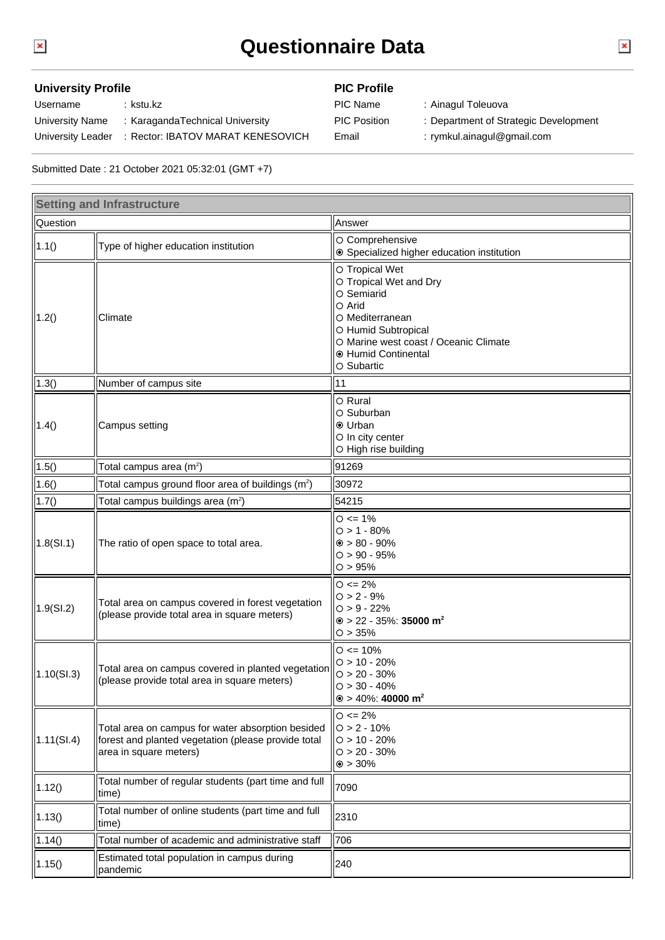## **Questionnaire Data**

## **University Profile PIC Profile**

Username : kstu.kz PIC Name : Ainagul Toleuova University Name : KaragandaTechnical University **PIC Position : Department of Strategic Development** University Leader : Rector: IBATOV MARAT KENESOVICH Email : rymkul.ainagul@gmail.com

- - -

Submitted Date : 21 October 2021 05:32:01 (GMT +7)

| <b>Setting and Infrastructure</b> |                                                                                                                                    |                                                                                                                                                                                                |
|-----------------------------------|------------------------------------------------------------------------------------------------------------------------------------|------------------------------------------------------------------------------------------------------------------------------------------------------------------------------------------------|
| Question                          |                                                                                                                                    | Answer                                                                                                                                                                                         |
| 1.1()                             | Type of higher education institution                                                                                               | O Comprehensive<br>● Specialized higher education institution                                                                                                                                  |
| 1.2()                             | Climate                                                                                                                            | O Tropical Wet<br>O Tropical Wet and Dry<br>O Semiarid<br>$\circ$ Arid<br>O Mediterranean<br>O Humid Subtropical<br>O Marine west coast / Oceanic Climate<br>● Humid Continental<br>○ Subartic |
| (1.3()                            | Number of campus site                                                                                                              | 11                                                                                                                                                                                             |
| 1.4()                             | Campus setting                                                                                                                     | O Rural<br>O Suburban<br><b>⊙</b> Urban<br>O In city center<br>O High rise building                                                                                                            |
| 1.5()                             | Total campus area (m <sup>2</sup> )                                                                                                | 91269                                                                                                                                                                                          |
| 1.6()                             | Total campus ground floor area of buildings (m <sup>2</sup> )                                                                      | 30972                                                                                                                                                                                          |
| 1.7()                             | Total campus buildings area (m <sup>2</sup> )                                                                                      | 54215                                                                                                                                                                                          |
| 1.8(SI.1)                         | The ratio of open space to total area.                                                                                             | $O \le 1\%$<br>$0 > 1 - 80%$<br>$\odot$ > 80 - 90%<br>$O > 90 - 95%$<br>O > 95%                                                                                                                |
| 1.9(SL2)                          | Total area on campus covered in forest vegetation<br>(please provide total area in square meters)                                  | $O \le 2\%$<br>$O > 2 - 9%$<br>$O > 9 - 22%$<br>$\odot$ > 22 - 35%: 35000 m <sup>2</sup><br>O > 35%                                                                                            |
| 1.10(SL.3)                        | Total area on campus covered in planted vegetation<br>(please provide total area in square meters)                                 | $O \le 10\%$<br>$O > 10 - 20%$<br>$O > 20 - 30\%$<br>$O > 30 - 40%$<br>$\circ$ > 40%: 40000 m <sup>2</sup>                                                                                     |
| 1.11(SI.4)                        | Total area on campus for water absorption besided<br>forest and planted vegetation (please provide total<br>area in square meters) | $O \le 2\%$<br>$O > 2 - 10%$<br>$O > 10 - 20%$<br>$O > 20 - 30\%$<br>$\odot$ > 30%                                                                                                             |
| 1.12()                            | Total number of regular students (part time and full<br>time)                                                                      | 7090                                                                                                                                                                                           |
| 1.13()                            | Total number of online students (part time and full<br>ltime)                                                                      | 2310                                                                                                                                                                                           |
| 1.14()                            | Total number of academic and administrative staff                                                                                  | 706                                                                                                                                                                                            |
| 1.15()                            | Estimated total population in campus during<br>pandemic                                                                            | 240                                                                                                                                                                                            |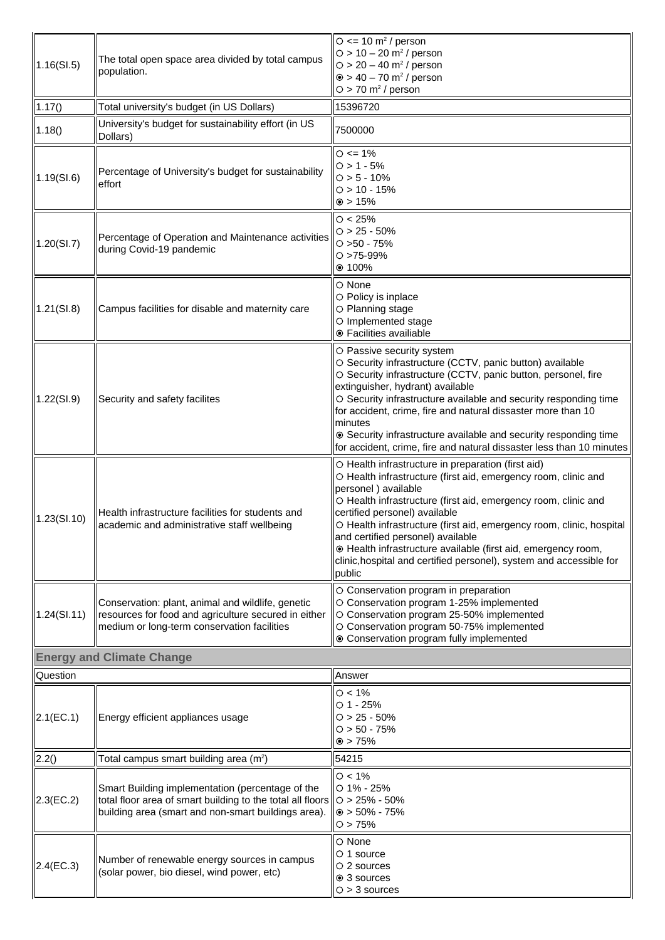| 1.16(SI.5)   | The total open space area divided by total campus<br>population.                                                                                                      | $\circ$ <= 10 m <sup>2</sup> / person<br>$O > 10 - 20$ m <sup>2</sup> / person<br>$O > 20 - 40$ m <sup>2</sup> / person<br>$\odot$ > 40 - 70 m <sup>2</sup> / person<br>$O > 70$ m <sup>2</sup> / person                                                                                                                                                                                                                                                                                                      |
|--------------|-----------------------------------------------------------------------------------------------------------------------------------------------------------------------|---------------------------------------------------------------------------------------------------------------------------------------------------------------------------------------------------------------------------------------------------------------------------------------------------------------------------------------------------------------------------------------------------------------------------------------------------------------------------------------------------------------|
| 1.17()       | Total university's budget (in US Dollars)                                                                                                                             | 15396720                                                                                                                                                                                                                                                                                                                                                                                                                                                                                                      |
| 1.18()       | University's budget for sustainability effort (in US<br>Dollars)                                                                                                      | 7500000                                                                                                                                                                                                                                                                                                                                                                                                                                                                                                       |
| 1.19(SI.6)   | Percentage of University's budget for sustainability<br>leffort                                                                                                       | $O \le 1\%$<br>$O > 1 - 5%$<br>$O > 5 - 10%$<br>$O > 10 - 15%$<br>$\odot$ > 15%                                                                                                                                                                                                                                                                                                                                                                                                                               |
| 1.20(SI.7)   | Percentage of Operation and Maintenance activities<br>during Covid-19 pandemic                                                                                        | O < 25%<br>$O > 25 - 50\%$<br>$O > 50 - 75%$<br>$O > 75 - 99%$<br>$@ 100\%$                                                                                                                                                                                                                                                                                                                                                                                                                                   |
| 1.21(SI.8)   | Campus facilities for disable and maternity care                                                                                                                      | O None<br>O Policy is inplace<br>O Planning stage<br>O Implemented stage<br>● Facilities availiable                                                                                                                                                                                                                                                                                                                                                                                                           |
| 1.22(SI.9)   | Security and safety facilites                                                                                                                                         | O Passive security system<br>O Security infrastructure (CCTV, panic button) available<br>O Security infrastructure (CCTV, panic button, personel, fire<br>extinguisher, hydrant) available<br>O Security infrastructure available and security responding time<br>for accident, crime, fire and natural dissaster more than 10<br>minutes<br>⊙ Security infrastructure available and security responding time<br>for accident, crime, fire and natural dissaster less than 10 minutes                         |
| 1.23(SI.10)  | Health infrastructure facilities for students and<br>academic and administrative staff wellbeing                                                                      | O Health infrastructure in preparation (first aid)<br>O Health infrastructure (first aid, emergency room, clinic and<br>personel) available<br>O Health infrastructure (first aid, emergency room, clinic and<br>certified personel) available<br>O Health infrastructure (first aid, emergency room, clinic, hospital<br>and certified personel) available<br>· Health infrastructure available (first aid, emergency room,<br>clinic, hospital and certified personel), system and accessible for<br>public |
| 1.24(SI.11)  | Conservation: plant, animal and wildlife, genetic<br>resources for food and agriculture secured in either<br>medium or long-term conservation facilities              | O Conservation program in preparation<br>O Conservation program 1-25% implemented<br>O Conservation program 25-50% implemented<br>O Conservation program 50-75% implemented<br>⊙ Conservation program fully implemented                                                                                                                                                                                                                                                                                       |
|              | <b>Energy and Climate Change</b>                                                                                                                                      |                                                                                                                                                                                                                                                                                                                                                                                                                                                                                                               |
| Question     |                                                                                                                                                                       | Answer                                                                                                                                                                                                                                                                                                                                                                                                                                                                                                        |
| 2.1(EC.1)    | Energy efficient appliances usage                                                                                                                                     | $O < 1\%$<br>$O$ 1 - 25%<br>$O > 25 - 50\%$<br>$O > 50 - 75%$<br>$\odot$ > 75%                                                                                                                                                                                                                                                                                                                                                                                                                                |
| 2.2()        | Total campus smart building area (m <sup>2</sup> )                                                                                                                    | 54215                                                                                                                                                                                                                                                                                                                                                                                                                                                                                                         |
| 2.3(EC.2)    | Smart Building implementation (percentage of the<br>total floor area of smart building to the total all floors<br>building area (smart and non-smart buildings area). | $O < 1\%$<br>$O$ 1% - 25%<br>$O > 25\% - 50\%$<br>$\odot$ > 50% - 75%<br>O > 75%                                                                                                                                                                                                                                                                                                                                                                                                                              |
| $2.4$ (EC.3) | Number of renewable energy sources in campus<br>(solar power, bio diesel, wind power, etc)                                                                            | O None<br>$\circ$ 1 source<br>$\circ$ 2 sources<br>● 3 sources<br>$O > 3$ sources                                                                                                                                                                                                                                                                                                                                                                                                                             |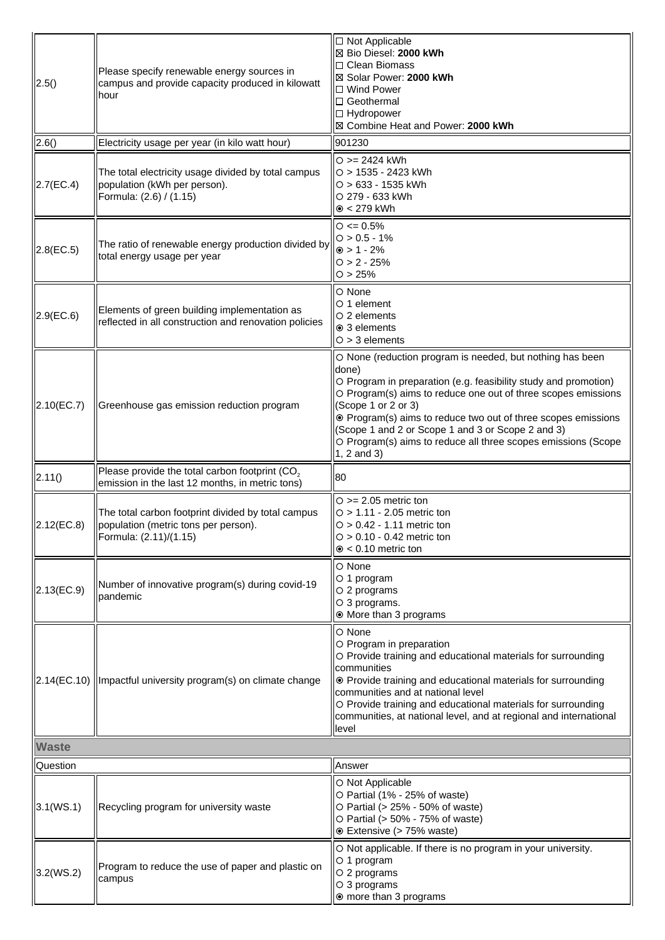| 2.5()        | Please specify renewable energy sources in<br>campus and provide capacity produced in kilowatt<br>hour                | □ Not Applicable<br>⊠ Bio Diesel: 2000 kWh<br>$\Box$ Clean Biomass<br>⊠ Solar Power: 2000 kWh<br>□ Wind Power<br>$\Box$ Geothermal<br>□ Hydropower<br>⊠ Combine Heat and Power: 2000 kWh                                                                                                                                                                                                                                            |
|--------------|-----------------------------------------------------------------------------------------------------------------------|-------------------------------------------------------------------------------------------------------------------------------------------------------------------------------------------------------------------------------------------------------------------------------------------------------------------------------------------------------------------------------------------------------------------------------------|
| 2.6()        | Electricity usage per year (in kilo watt hour)                                                                        | 901230                                                                                                                                                                                                                                                                                                                                                                                                                              |
| 2.7(EC.4)    | The total electricity usage divided by total campus<br>population (kWh per person).<br>Formula: (2.6) / (1.15)        | $O = 2424$ kWh<br>$O > 1535 - 2423$ kWh<br>$O > 633 - 1535$ kWh<br>O 279 - 633 kWh<br>$\odot$ < 279 kWh                                                                                                                                                                                                                                                                                                                             |
| 2.8(EC.5)    | The ratio of renewable energy production divided by<br>total energy usage per year                                    | $\circ$ <= 0.5%<br>$O > 0.5 - 1%$<br>$\odot$ > 1 - 2%<br>$O > 2 - 25%$<br>O > 25%                                                                                                                                                                                                                                                                                                                                                   |
| $2.9$ (EC.6) | Elements of green building implementation as<br>reflected in all construction and renovation policies                 | $\bigcirc$ None<br>$\circ$ 1 element<br>$\circ$ 2 elements<br>⊙ 3 elements<br>$O > 3$ elements                                                                                                                                                                                                                                                                                                                                      |
| 2.10(EC.7)   | Greenhouse gas emission reduction program                                                                             | O None (reduction program is needed, but nothing has been<br>done)<br>O Program in preparation (e.g. feasibility study and promotion)<br>O Program(s) aims to reduce one out of three scopes emissions<br>(Scope 1 or 2 or 3)<br>⊙ Program(s) aims to reduce two out of three scopes emissions<br>(Scope 1 and 2 or Scope 1 and 3 or Scope 2 and 3)<br>O Program(s) aims to reduce all three scopes emissions (Scope<br>1, 2 and 3) |
| 2.11()       | Please provide the total carbon footprint (CO <sub>2</sub><br>emission in the last 12 months, in metric tons)         | 80                                                                                                                                                                                                                                                                                                                                                                                                                                  |
| 2.12(EC.8)   | The total carbon footprint divided by total campus<br>population (metric tons per person).<br>[Formula: (2.11)/(1.15) | $\circ$ >= 2.05 metric ton<br>$O > 1.11 - 2.05$ metric ton<br>$O > 0.42 - 1.11$ metric ton<br>$\circ$ > 0.10 - 0.42 metric ton<br>$\odot$ < 0.10 metric ton                                                                                                                                                                                                                                                                         |
| 2.13(EC.9)   | Number of innovative program(s) during covid-19<br> pandemic                                                          | O None<br>$\circ$ 1 program<br>$\circ$ 2 programs<br>$\circ$ 3 programs.<br>◉ More than 3 programs                                                                                                                                                                                                                                                                                                                                  |
|              | 2.14(EC.10)   Impactful university program(s) on climate change                                                       | O None<br>O Program in preparation<br>O Provide training and educational materials for surrounding<br>communities<br>⊙ Provide training and educational materials for surrounding<br>communities and at national level<br>O Provide training and educational materials for surrounding<br>communities, at national level, and at regional and international<br>level                                                                |
| <b>Waste</b> |                                                                                                                       |                                                                                                                                                                                                                                                                                                                                                                                                                                     |
| Question     |                                                                                                                       | Answer                                                                                                                                                                                                                                                                                                                                                                                                                              |
| 3.1(WS.1)    | Recycling program for university waste                                                                                | O Not Applicable<br>O Partial (1% - 25% of waste)<br>O Partial (> 25% - 50% of waste)<br>O Partial (> 50% - 75% of waste)<br>⊙ Extensive (> 75% waste)                                                                                                                                                                                                                                                                              |
| 3.2(WS.2)    | Program to reduce the use of paper and plastic on<br>campus                                                           | O Not applicable. If there is no program in your university.<br>$\circ$ 1 program<br>$\circ$ 2 programs<br>$\circ$ 3 programs<br>◉ more than 3 programs                                                                                                                                                                                                                                                                             |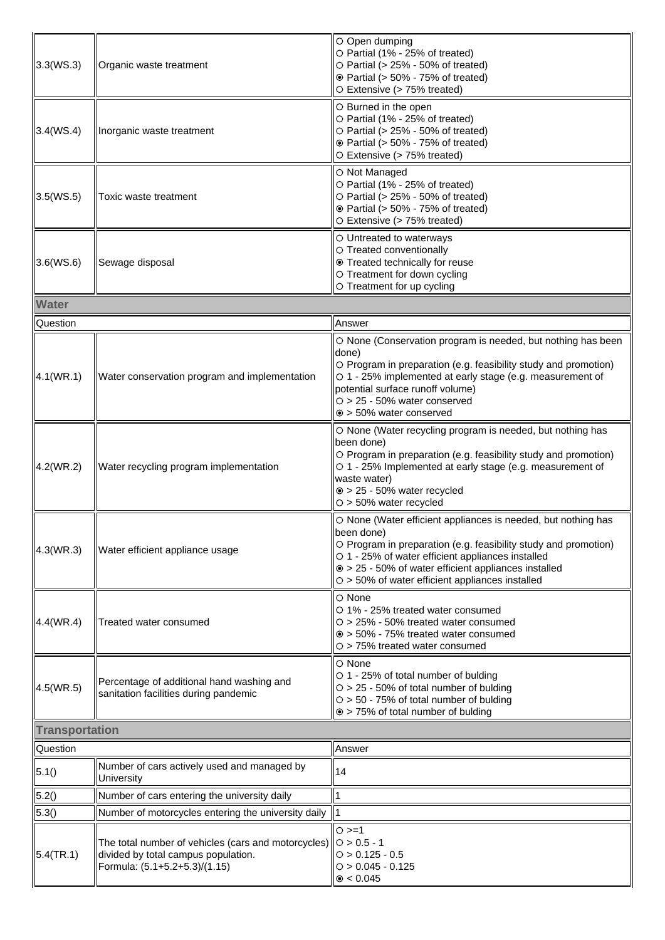| 3.3(WS.3)             | Organic waste treatment                                                                                                     | O Open dumping<br>O Partial (1% - 25% of treated)<br>$\circ$ Partial (> 25% - 50% of treated)<br><b>⊙</b> Partial (> 50% - 75% of treated)<br>O Extensive (> 75% treated)                                                                                                                                            |
|-----------------------|-----------------------------------------------------------------------------------------------------------------------------|----------------------------------------------------------------------------------------------------------------------------------------------------------------------------------------------------------------------------------------------------------------------------------------------------------------------|
| 3.4(WS.4)             | Inorganic waste treatment                                                                                                   | O Burned in the open<br>O Partial (1% - 25% of treated)<br>$\circ$ Partial (> 25% - 50% of treated)<br>⊙ Partial (> 50% - 75% of treated)<br>O Extensive (> 75% treated)                                                                                                                                             |
| 3.5(WS.5)             | Toxic waste treatment                                                                                                       | O Not Managed<br>O Partial (1% - 25% of treated)<br>$\circ$ Partial (> 25% - 50% of treated)<br>⊙ Partial (> 50% - 75% of treated)<br>O Extensive (> 75% treated)                                                                                                                                                    |
| 3.6(WS.6)             | Sewage disposal                                                                                                             | O Untreated to waterways<br>O Treated conventionally<br>⊙ Treated technically for reuse<br>O Treatment for down cycling<br>O Treatment for up cycling                                                                                                                                                                |
| <b>Water</b>          |                                                                                                                             |                                                                                                                                                                                                                                                                                                                      |
| Question              |                                                                                                                             | Answer                                                                                                                                                                                                                                                                                                               |
| 4.1(WR.1)             | Water conservation program and implementation                                                                               | O None (Conservation program is needed, but nothing has been<br>done)<br>O Program in preparation (e.g. feasibility study and promotion)<br>O 1 - 25% implemented at early stage (e.g. measurement of<br>potential surface runoff volume)<br>$O > 25 - 50\%$ water conserved<br>$\odot$ > 50% water conserved        |
| 4.2(WR.2)             | Water recycling program implementation                                                                                      | O None (Water recycling program is needed, but nothing has<br>been done)<br>O Program in preparation (e.g. feasibility study and promotion)<br>O 1 - 25% Implemented at early stage (e.g. measurement of<br>waste water)<br>$\odot$ > 25 - 50% water recycled<br>$O > 50\%$ water recycled                           |
| 4.3(WR.3)             | Water efficient appliance usage                                                                                             | O None (Water efficient appliances is needed, but nothing has<br>been done)<br>O Program in preparation (e.g. feasibility study and promotion)<br>O 1 - 25% of water efficient appliances installed<br>⊙ > 25 - 50% of water efficient appliances installed<br>$\circ$ > 50% of water efficient appliances installed |
| 4.4(WR.4)             | Treated water consumed                                                                                                      | O None<br>○ 1% - 25% treated water consumed<br>$\circ$ > 25% - 50% treated water consumed<br>$\odot$ > 50% - 75% treated water consumed<br>$\circ$ > 75% treated water consumed                                                                                                                                      |
| 4.5(WR.5)             | Percentage of additional hand washing and<br>sanitation facilities during pandemic                                          | O None<br>○ 1 - 25% of total number of bulding<br>$O > 25 - 50\%$ of total number of bulding<br>$O > 50 - 75%$ of total number of bulding<br>$\circ$ > 75% of total number of bulding                                                                                                                                |
| <b>Transportation</b> |                                                                                                                             |                                                                                                                                                                                                                                                                                                                      |
| Question              |                                                                                                                             | Answer                                                                                                                                                                                                                                                                                                               |
| 5.1()                 | Number of cars actively used and managed by<br>University                                                                   | 14                                                                                                                                                                                                                                                                                                                   |
| 5.2()                 | Number of cars entering the university daily                                                                                | 1                                                                                                                                                                                                                                                                                                                    |
| 5.3()                 | Number of motorcycles entering the university daily   1                                                                     |                                                                                                                                                                                                                                                                                                                      |
| 5.4(TR.1)             | The total number of vehicles (cars and motorcycles)<br>divided by total campus population.<br>Formula: (5.1+5.2+5.3)/(1.15) | $O >= 1$<br>$\bigcirc$ > 0.5 - 1<br>$O > 0.125 - 0.5$<br>$O > 0.045 - 0.125$<br>$\odot$ < 0.045                                                                                                                                                                                                                      |
|                       |                                                                                                                             |                                                                                                                                                                                                                                                                                                                      |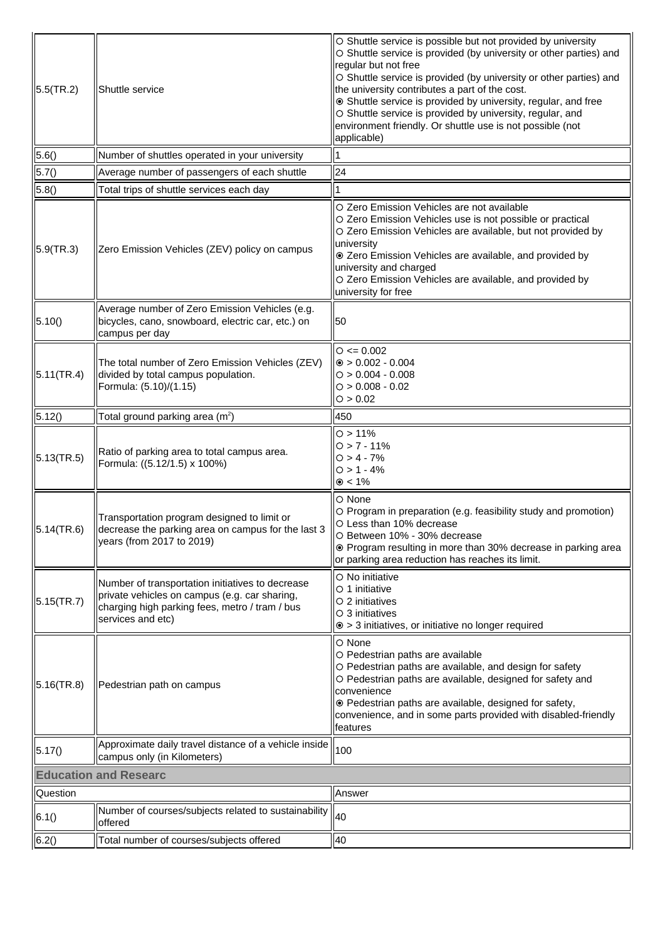| $5.5$ (TR.2)                 | Shuttle service                                                                                                                                                          | O Shuttle service is possible but not provided by university<br>O Shuttle service is provided (by university or other parties) and<br>regular but not free<br>O Shuttle service is provided (by university or other parties) and<br>the university contributes a part of the cost.<br>Shuttle service is provided by university, regular, and free<br>O Shuttle service is provided by university, regular, and<br>environment friendly. Or shuttle use is not possible (not<br>applicable) |
|------------------------------|--------------------------------------------------------------------------------------------------------------------------------------------------------------------------|---------------------------------------------------------------------------------------------------------------------------------------------------------------------------------------------------------------------------------------------------------------------------------------------------------------------------------------------------------------------------------------------------------------------------------------------------------------------------------------------|
| 5.6()                        | Number of shuttles operated in your university                                                                                                                           |                                                                                                                                                                                                                                                                                                                                                                                                                                                                                             |
| 5.7()                        | Average number of passengers of each shuttle                                                                                                                             | 24                                                                                                                                                                                                                                                                                                                                                                                                                                                                                          |
| 5.8()                        | Total trips of shuttle services each day                                                                                                                                 |                                                                                                                                                                                                                                                                                                                                                                                                                                                                                             |
| 5.9(TR.3)                    | Zero Emission Vehicles (ZEV) policy on campus                                                                                                                            | O Zero Emission Vehicles are not available<br>O Zero Emission Vehicles use is not possible or practical<br>O Zero Emission Vehicles are available, but not provided by<br>university<br>C Zero Emission Vehicles are available, and provided by<br>university and charged<br>O Zero Emission Vehicles are available, and provided by<br>university for free                                                                                                                                 |
| 5.10()                       | Average number of Zero Emission Vehicles (e.g.<br>bicycles, cano, snowboard, electric car, etc.) on<br>campus per day                                                    | 50                                                                                                                                                                                                                                                                                                                                                                                                                                                                                          |
| 5.11(TR.4)                   | The total number of Zero Emission Vehicles (ZEV)<br>divided by total campus population.<br>Formula: (5.10)/(1.15)                                                        | $\circ$ <= 0.002<br>$\odot$ > 0.002 - 0.004<br>$O > 0.004 - 0.008$<br>$O > 0.008 - 0.02$<br>O > 0.02                                                                                                                                                                                                                                                                                                                                                                                        |
| 5.12()                       | Total ground parking area (m <sup>2</sup> )                                                                                                                              | 450                                                                                                                                                                                                                                                                                                                                                                                                                                                                                         |
| 5.13(TR.5)                   | Ratio of parking area to total campus area.<br>Formula: ((5.12/1.5) x 100%)                                                                                              | O > 11%<br>$O > 7 - 11%$<br>$O > 4 - 7%$<br>$O > 1 - 4%$<br>$\odot$ < 1%                                                                                                                                                                                                                                                                                                                                                                                                                    |
| 5.14(TR.6)                   | Transportation program designed to limit or<br>decrease the parking area on campus for the last 3<br>years (from 2017 to 2019)                                           | $\circ$ None<br>O Program in preparation (e.g. feasibility study and promotion)<br>O Less than 10% decrease<br>O Between 10% - 30% decrease<br>⊙ Program resulting in more than 30% decrease in parking area<br>or parking area reduction has reaches its limit.                                                                                                                                                                                                                            |
| 5.15(TR.7)                   | Number of transportation initiatives to decrease<br>private vehicles on campus (e.g. car sharing,<br>charging high parking fees, metro / tram / bus<br>services and etc) | $\circ$ No initiative<br>$\circ$ 1 initiative<br>$\circ$ 2 initiatives<br>$\circ$ 3 initiatives<br>$\odot$ > 3 initiatives, or initiative no longer required                                                                                                                                                                                                                                                                                                                                |
| $ 5.16$ (TR.8)               | Pedestrian path on campus                                                                                                                                                | $\circ$ None<br>O Pedestrian paths are available<br>O Pedestrian paths are available, and design for safety<br>O Pedestrian paths are available, designed for safety and<br>convenience<br>⊙ Pedestrian paths are available, designed for safety,<br>convenience, and in some parts provided with disabled-friendly<br>features                                                                                                                                                             |
| 5.17()                       | Approximate daily travel distance of a vehicle inside<br>campus only (in Kilometers)                                                                                     | 100                                                                                                                                                                                                                                                                                                                                                                                                                                                                                         |
| <b>Education and Researc</b> |                                                                                                                                                                          |                                                                                                                                                                                                                                                                                                                                                                                                                                                                                             |
| <b>Question</b>              |                                                                                                                                                                          | Answer                                                                                                                                                                                                                                                                                                                                                                                                                                                                                      |
| 6.1()                        | Number of courses/subjects related to sustainability<br><b>offered</b>                                                                                                   | 40                                                                                                                                                                                                                                                                                                                                                                                                                                                                                          |
| 6.2()                        | Total number of courses/subjects offered                                                                                                                                 | 40                                                                                                                                                                                                                                                                                                                                                                                                                                                                                          |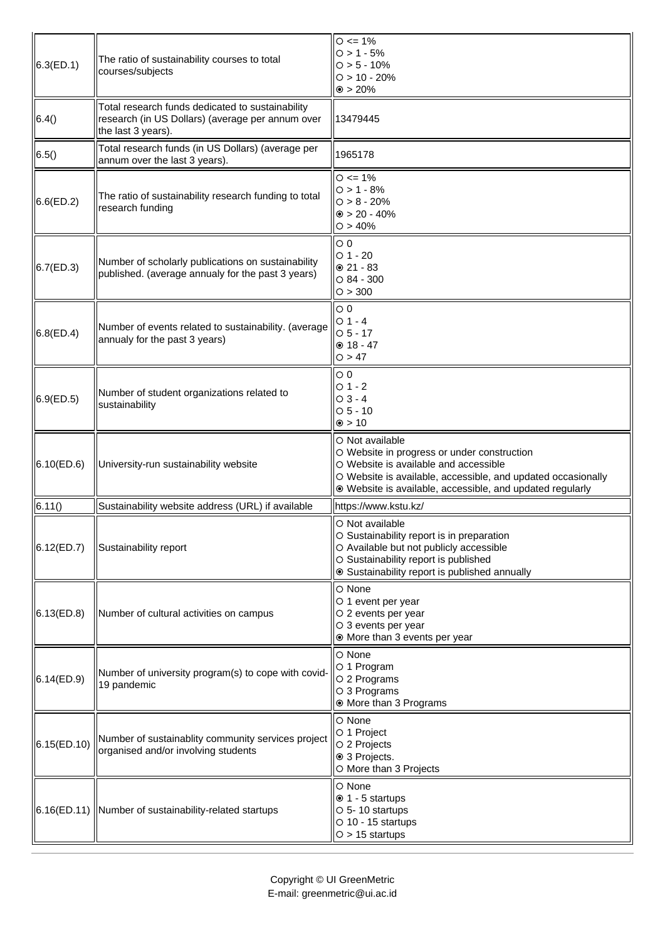| 6.3(ED.1)   | The ratio of sustainability courses to total<br>courses/subjects                                                           | $O \le 1\%$<br>$0 > 1 - 5%$<br>$O > 5 - 10\%$<br>$O > 10 - 20%$<br>$\odot$ > 20%                                                                                                                                                     |
|-------------|----------------------------------------------------------------------------------------------------------------------------|--------------------------------------------------------------------------------------------------------------------------------------------------------------------------------------------------------------------------------------|
| 6.4()       | Total research funds dedicated to sustainability<br>research (in US Dollars) (average per annum over<br>the last 3 years). | 13479445                                                                                                                                                                                                                             |
| 6.5()       | Total research funds (in US Dollars) (average per<br>annum over the last 3 years).                                         | 1965178                                                                                                                                                                                                                              |
| 6.6(ED.2)   | The ratio of sustainability research funding to total<br>research funding                                                  | $O \le 1\%$<br>$0 > 1 - 8%$<br>$O > 8 - 20%$<br>$\odot$ > 20 - 40%<br>O > 40%                                                                                                                                                        |
| 6.7(ED.3)   | Number of scholarly publications on sustainability<br>published. (average annualy for the past 3 years)                    | $\circ$ 0<br>$O$ 1 - 20<br>$@21 - 83$<br>$\circ$ 84 - 300<br>O > 300                                                                                                                                                                 |
| 6.8(ED.4)   | Number of events related to sustainability. (average<br>annualy for the past 3 years)                                      | $\circ$ 0<br>$O_1 - 4$<br>$O5 - 17$<br>$@18 - 47$<br>O > 47                                                                                                                                                                          |
| 6.9(ED.5)   | Number of student organizations related to<br>sustainability                                                               | $\circ$ 0<br>$O1 - 2$<br>$O_3 - 4$<br>$O5 - 10$<br>$\odot$ > 10                                                                                                                                                                      |
| 6.10(ED.6)  | University-run sustainability website                                                                                      | O Not available<br>O Website in progress or under construction<br>O Website is available and accessible<br>O Website is available, accessible, and updated occasionally<br>⊙ Website is available, accessible, and updated regularly |
| 6.11()      | Sustainability website address (URL) if available                                                                          | https://www.kstu.kz/                                                                                                                                                                                                                 |
| 6.12(ED.7)  | Sustainability report                                                                                                      | O Not available<br>O Sustainability report is in preparation<br>O Available but not publicly accessible<br>O Sustainability report is published<br>⊙ Sustainability report is published annually                                     |
| 6.13(ED.8)  | Number of cultural activities on campus                                                                                    | O None<br>O 1 event per year<br>O 2 events per year<br>O 3 events per year<br>⊙ More than 3 events per year                                                                                                                          |
| 6.14(ED.9)  | Number of university program(s) to cope with covid-<br>19 pandemic                                                         | O None<br>O 1 Program<br>O 2 Programs<br>O 3 Programs<br>◉ More than 3 Programs                                                                                                                                                      |
| 6.15(ED.10) | Number of sustainablity community services project<br>organised and/or involving students                                  | O None<br>O 1 Project<br>O 2 Projects<br>⊙ 3 Projects.<br>O More than 3 Projects                                                                                                                                                     |
|             | 6.16(ED.11)  Number of sustainability-related startups                                                                     | O None<br>$\odot$ 1 - 5 startups<br>$\circ$ 5-10 startups<br>$\circ$ 10 - 15 startups<br>$O > 15$ startups                                                                                                                           |